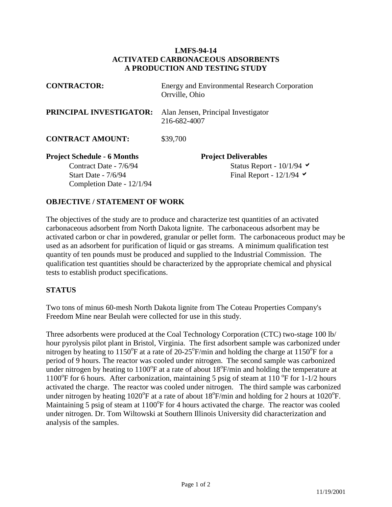## **LMFS-94-14 ACTIVATED CARBONACEOUS ADSORBENTS A PRODUCTION AND TESTING STUDY**

| <b>CONTRACTOR:</b>                                                                                                 | <b>Energy and Environmental Research Corporation</b><br>Orrville, Ohio               |  |  |
|--------------------------------------------------------------------------------------------------------------------|--------------------------------------------------------------------------------------|--|--|
| <b>PRINCIPAL INVESTIGATOR:</b>                                                                                     | Alan Jensen, Principal Investigator<br>216-682-4007                                  |  |  |
| <b>CONTRACT AMOUNT:</b>                                                                                            | \$39,700                                                                             |  |  |
| <b>Project Schedule - 6 Months</b><br>Contract Date - 7/6/94<br>Start Date - $7/6/94$<br>Completion Date - 12/1/94 | <b>Project Deliverables</b><br>Status Report - $10/1/94$<br>Final Report - $12/1/94$ |  |  |

## **OBJECTIVE / STATEMENT OF WORK**

The objectives of the study are to produce and characterize test quantities of an activated carbonaceous adsorbent from North Dakota lignite. The carbonaceous adsorbent may be activated carbon or char in powdered, granular or pellet form. The carbonaceous product may be used as an adsorbent for purification of liquid or gas streams. A minimum qualification test quantity of ten pounds must be produced and supplied to the Industrial Commission. The qualification test quantities should be characterized by the appropriate chemical and physical tests to establish product specifications.

## **STATUS**

Two tons of minus 60-mesh North Dakota lignite from The Coteau Properties Company's Freedom Mine near Beulah were collected for use in this study.

Three adsorbents were produced at the Coal Technology Corporation (CTC) two-stage 100 lb/ hour pyrolysis pilot plant in Bristol, Virginia. The first adsorbent sample was carbonized under nitrogen by heating to 1150°F at a rate of 20-25°F/min and holding the charge at 1150°F for a period of 9 hours. The reactor was cooled under nitrogen. The second sample was carbonized under nitrogen by heating to  $1100^{\circ}$ F at a rate of about  $18^{\circ}$ F/min and holding the temperature at 1100°F for 6 hours. After carbonization, maintaining 5 psig of steam at 110 °F for 1-1/2 hours activated the charge. The reactor was cooled under nitrogen. The third sample was carbonized under nitrogen by heating  $1020^{\circ}$ F at a rate of about  $18^{\circ}$ F/min and holding for 2 hours at  $1020^{\circ}$ F. Maintaining 5 psig of steam at 1100°F for 4 hours activated the charge. The reactor was cooled under nitrogen. Dr. Tom Wiltowski at Southern Illinois University did characterization and analysis of the samples.